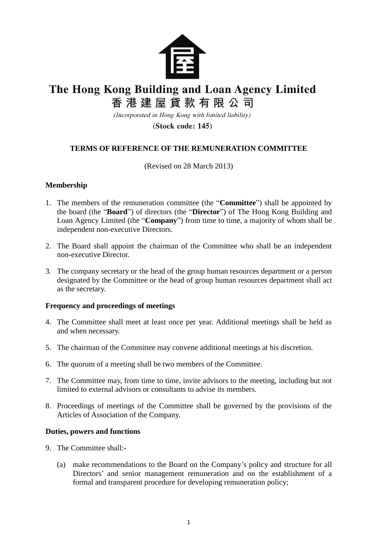

# The Hong Kong Building and Loan Agency Limited

香港建屋貸款有限公司

(Incorporated in Hong Kong with limited liability)

(Stock code: 145)

## **TERMS OF REFERENCE OF THE REMUNERATION COMMITTEE**

(Revised on 28 March 2013)

### **Membership**

- 1. The members of the remuneration committee (the "**Committee**") shall be appointed by the board (the "**Board**") of directors (the "**Director**") of The Hong Kong Building and Loan Agency Limited (the "**Company**") from time to time, a majority of whom shall be independent non-executive Directors.
- 2. The Board shall appoint the chairman of the Committee who shall be an independent non-executive Director.
- 3. The company secretary or the head of the group human resources department or a person designated by the Committee or the head of group human resources department shall act as the secretary.

#### **Frequency and proceedings of meetings**

- 4. The Committee shall meet at least once per year. Additional meetings shall be held as and when necessary.
- 5. The chairman of the Committee may convene additional meetings at his discretion.
- 6. The quorum of a meeting shall be two members of the Committee.
- 7. The Committee may, from time to time, invite advisors to the meeting, including but not limited to external advisors or consultants to advise its members.
- 8. Proceedings of meetings of the Committee shall be governed by the provisions of the Articles of Association of the Company.

#### **Duties, powers and functions**

- 9. The Committee shall:-
	- (a) make recommendations to the Board on the Company's policy and structure for all Directors' and senior management remuneration and on the establishment of a formal and transparent procedure for developing remuneration policy;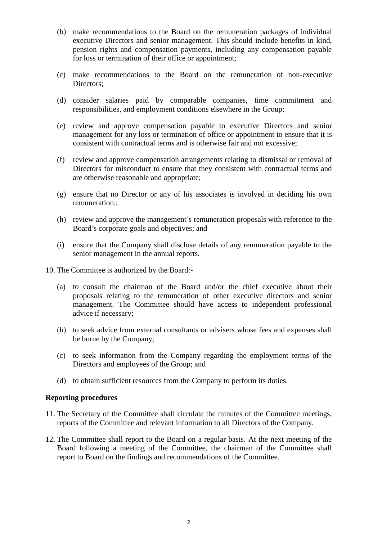- (b) make recommendations to the Board on the remuneration packages of individual executive Directors and senior management. This should include benefits in kind, pension rights and compensation payments, including any compensation payable for loss or termination of their office or appointment;
- (c) make recommendations to the Board on the remuneration of non-executive Directors;
- (d) consider salaries paid by comparable companies, time commitment and responsibilities, and employment conditions elsewhere in the Group;
- (e) review and approve compensation payable to executive Directors and senior management for any loss or termination of office or appointment to ensure that it is consistent with contractual terms and is otherwise fair and not excessive;
- (f) review and approve compensation arrangements relating to dismissal or removal of Directors for misconduct to ensure that they consistent with contractual terms and are otherwise reasonable and appropriate;
- (g) ensure that no Director or any of his associates is involved in deciding his own remuneration.;
- (h) review and approve the management's remuneration proposals with reference to the Board's corporate goals and objectives; and
- (i) ensure that the Company shall disclose details of any remuneration payable to the senior management in the annual reports.
- 10. The Committee is authorized by the Board:-
	- (a) to consult the chairman of the Board and/or the chief executive about their proposals relating to the remuneration of other executive directors and senior management. The Committee should have access to independent professional advice if necessary;
	- (b) to seek advice from external consultants or advisers whose fees and expenses shall be borne by the Company;
	- (c) to seek information from the Company regarding the employment terms of the Directors and employees of the Group; and
	- (d) to obtain sufficient resources from the Company to perform its duties.

#### **Reporting procedures**

- 11. The Secretary of the Committee shall circulate the minutes of the Committee meetings, reports of the Committee and relevant information to all Directors of the Company.
- 12. The Committee shall report to the Board on a regular basis. At the next meeting of the Board following a meeting of the Committee, the chairman of the Committee shall report to Board on the findings and recommendations of the Committee.